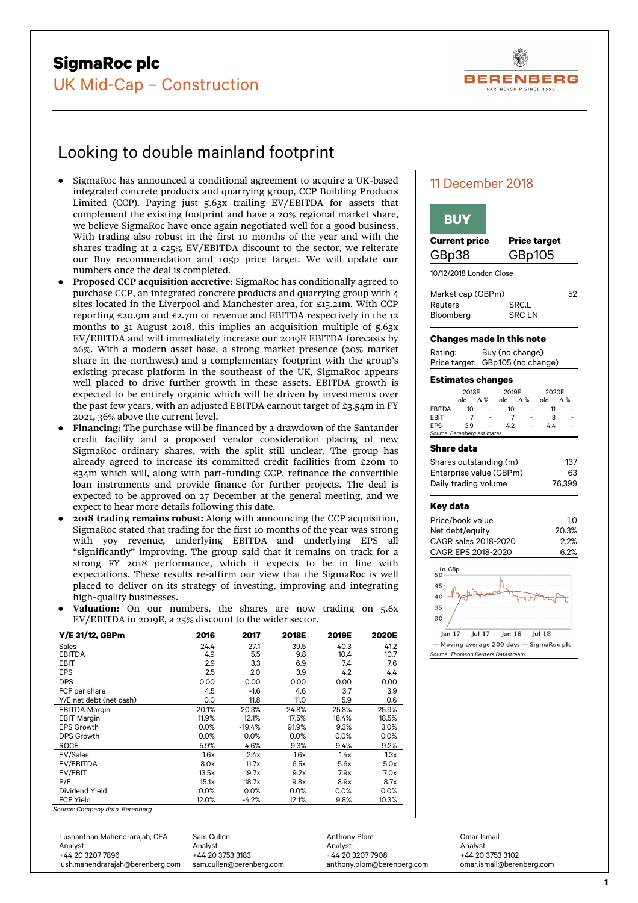

# Looking to double mainland footprint

- SigmaRoc has announced a conditional agreement to acquire a UK-based integrated concrete products and quarrying group, CCP Building Products Limited (CCP). Paying just 5.63x trailing EV/EBITDA for assets that complement the existing footprint and have a 20% regional market share, we believe SigmaRoc have once again negotiated well for a good business. With trading also robust in the first 10 months of the year and with the shares trading at a c25% EV/EBITDA discount to the sector, we reiterate our Buy recommendation and 105p price target. We will update our numbers once the deal is completed.
- Proposed CCP acquisition accretive: SigmaRoc has conditionally agreed to purchase CCP, an integrated concrete products and quarrying group with 4 sites located in the Liverpool and Manchester area, for £15.21m. With CCP reporting £20.9m and £2.7m of revenue and EBITDA respectively in the 12 months to 31 August 2018, this implies an acquisition multiple of 5.63x EV/EBITDA and will immediately increase our 2019E EBITDA forecasts by 26%. With a modern asset base, a strong market presence (20% market share in the northwest) and a complementary footprint with the group's existing precast platform in the southeast of the UK, SigmaRoc appears well placed to drive further growth in these assets. EBITDA growth is expected to be entirely organic which will be driven by investments over the past few years, with an adjusted EBITDA earnout target of  $\epsilon_3$ .54m in FY 2021, 36% above the current level.
- Financing: The purchase will be financed by a drawdown of the Santander credit facility and a proposed vendor consideration placing of new SigmaRoc ordinary shares, with the split still unclear. The group has already agreed to increase its committed credit facilities from £20m to £34m which will, along with part-funding CCP, refinance the convertible loan instruments and provide finance for further projects. The deal is expected to be approved on 27 December at the general meeting, and we expect to hear more details following this date.
- **2018 trading remains robust:** Along with announcing the CCP acquisition, SigmaRoc stated that trading for the first 10 months of the year was strong with yoy revenue, underlying EBITDA and underlying EPS all "significantly" improving. The group said that it remains on track for a strong FY 2018 performance, which it expects to be in line with expectations. These results re-affirm our view that the SigmaRoc is well placed to deliver on its strategy of investing, improving and integrating high-quality businesses.
- Valuation: On our numbers, the shares are now trading on 5.6x EV/EBITDA in 2019E, a 25% discount to the wider sector.

| Y/E 31/12, GBPm         | 2016  | 2017     | 2018E | 2019E | <b>2020E</b> |
|-------------------------|-------|----------|-------|-------|--------------|
| <b>Sales</b>            | 24.4  | 27.1     | 39.5  | 40.3  | 41.2         |
| <b>EBITDA</b>           | 4.9   | 5.5      | 9.8   | 10.4  | 10.7         |
| <b>EBIT</b>             | 2.9   | 3.3      | 6.9   | 7.4   | 7.6          |
| <b>EPS</b>              | 2.5   | 2.0      | 3.9   | 4.2   | 4.4          |
| <b>DPS</b>              | 0.00  | 0.00     | 0.00  | 0.00  | 0.00         |
| FCF per share           | 4.5   | $-1.6$   | 4.6   | 3.7   | 3.9          |
| Y/E net debt (net cash) | 0.0   | 11.8     | 11.0  | 5.9   | 0.6          |
| <b>EBITDA Margin</b>    | 20.1% | 20.3%    | 24.8% | 25.8% | 25.9%        |
| <b>EBIT Margin</b>      | 11.9% | 12.1%    | 17.5% | 18.4% | 18.5%        |
| <b>EPS Growth</b>       | 0.0%  | $-19.4%$ | 91.9% | 9.3%  | 3.0%         |
| DPS Growth              | 0.0%  | 0.0%     | 0.0%  | 0.0%  | 0.0%         |
| <b>ROCE</b>             | 5.9%  | 4.6%     | 9.3%  | 9.4%  | 9.2%         |
| EV/Sales                | 1.6x  | 2.4x     | 1.6x  | 1.4x  | 1.3x         |
| EV/EBITDA               | 8.0x  | 11.7x    | 6.5x  | 5.6x  | 5.0x         |
| EV/EBIT                 | 13.5x | 19.7x    | 9.2x  | 7.9x  | 7.0x         |
| P/E                     | 15.1x | 18.7x    | 9.8x  | 8.9x  | 8.7x         |
| Dividend Yield          | 0.0%  | 0.0%     | 0.0%  | 0.0%  | 0.0%         |
| <b>FCF Yield</b>        | 12.0% | $-4.2%$  | 12.1% | 9.8%  | 10.3%        |

*Source: Company data, Berenberg*

# GBp38 GBp105 10/12/2018 London Close Market cap (GBPm) 52

| Market cap (GBPm) |              | 52 |
|-------------------|--------------|----|
| Reuters           | SRC.L        |    |
| Bloomberg         | <b>SRCLN</b> |    |

**Current price Price target** 

## **Changes made in this note**

11 December 2018

**BUY** 

| Rating: | Buy (no change)                  |
|---------|----------------------------------|
|         | Price target: GBp105 (no change) |

## **Estimates changes**

|                             | 2018E |              | 2019E |              | 2020E |                          |  |
|-----------------------------|-------|--------------|-------|--------------|-------|--------------------------|--|
|                             | old   | $\Lambda \%$ | old   | $\Lambda \%$ | old   | Λ%                       |  |
| <b>EBITDA</b>               | 10    |              | 10    |              |       |                          |  |
| EBIT                        |       | ٠            |       |              | 8     | $\overline{\phantom{a}}$ |  |
| <b>EPS</b>                  | 3.9   |              | 4.2   | ٠            | 4.4   |                          |  |
| Source: Berenberg estimates |       |              |       |              |       |                          |  |

#### **Share data**

| Shares outstanding (m)  | 137    |
|-------------------------|--------|
| Enterprise value (GBPm) | 63     |
| Daily trading volume    | 76.399 |

#### **Key data**

| Price/book value     | 10      |
|----------------------|---------|
| Net debt/equity      | 20.3%   |
| CAGR sales 2018-2020 | $2.2\%$ |
| CAGR EPS 2018-2020   | 6.2%    |



*Source: Thomson Reuters Datastream*

Lushanthan Mahendrarajah, CFA Analyst +44 20 3207 7896 lush.mahendrarajah@berenberg.com Sam Cullen Analyst +44 20 3753 3183 sam.cullen@berenberg.com Anthony Plom Analyst +44 20 3207 7908 anthony.plom@berenberg.com Omar Ismail Analyst +44 20 3753 3102 omar.ismail@berenberg.com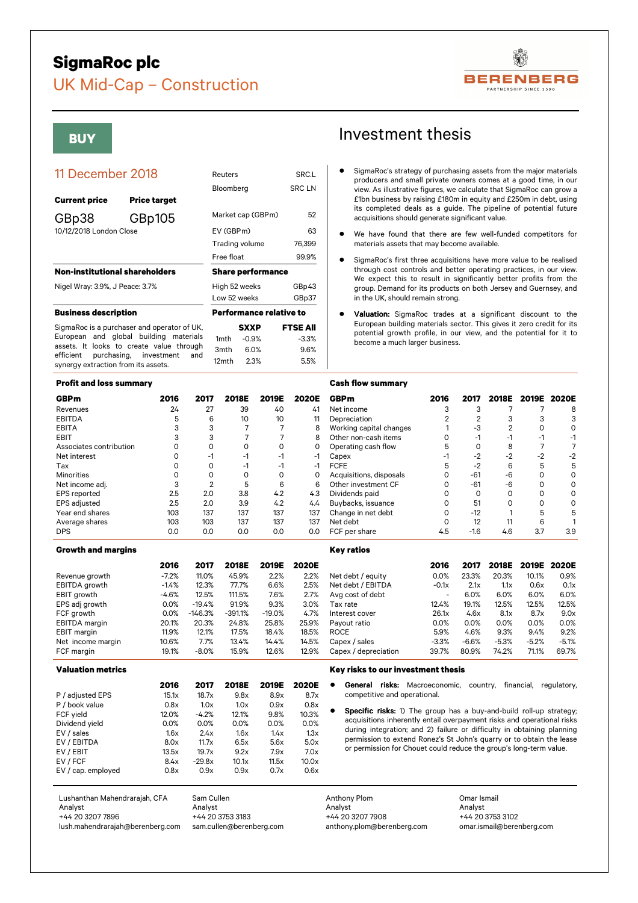# **SigmaRoc plc**



# UK Mid-Cap – Construction

| <b>Current price</b>                  | <b>Price target</b>                                           |                  |                                |                 |
|---------------------------------------|---------------------------------------------------------------|------------------|--------------------------------|-----------------|
| GBp38                                 | GBp105                                                        |                  | Market cap (GBPm)              | 52              |
| 10/12/2018 London Close               |                                                               | EV (GBPm)        |                                | 63              |
|                                       |                                                               |                  | Trading volume                 | 76,399          |
|                                       |                                                               | Free float       |                                | 99.9%           |
| <b>Non-institutional shareholders</b> |                                                               |                  | <b>Share performance</b>       |                 |
| Nigel Wray: 3.9%, J Peace: 3.7%       |                                                               | High 52 weeks    |                                | GBp43           |
|                                       |                                                               |                  | Low 52 weeks                   | GBp37           |
| <b>Business description</b>           |                                                               |                  | <b>Performance relative to</b> |                 |
|                                       | SigmaRoc is a purchaser and operator of UK,                   |                  | <b>SXXP</b>                    | <b>FTSE All</b> |
|                                       | European and global building materials                        | 1 <sub>mth</sub> | $-0.9%$                        | $-3.3%$         |
| purchasing,<br>efficient              | assets. It looks to create value through<br>investment<br>and | 3mth             | 6.0%                           | 9.6%            |
|                                       |                                                               |                  |                                |                 |

**Bloomberg** 

12mth 2.3% 5.5%

## **Profit and loss summary**

synergy extraction from its assets.

| <b>GBPm</b>             | 2016 | 2017 | 2018E | 2019E | 2020E |
|-------------------------|------|------|-------|-------|-------|
| Revenues                | 24   | 27   | 39    | 40    | 41    |
| <b>EBITDA</b>           | 5    | 6    | 10    | 10    | 11    |
| <b>EBITA</b>            | 3    | 3    |       |       | 8     |
| <b>EBIT</b>             | 3    | 3    |       |       | 8     |
| Associates contribution | ი    | ი    | O     | Ω     | 0     |
| Net interest            | ი    | -1   | -1    | -1    | -1    |
| Tax                     | Ω    | ი    | -1    | -1    | -1    |
| <b>Minorities</b>       |      |      | ი     | Ω     | 0     |
| Net income adj.         | 3    | 2    | 5     | 6     | 6     |
| <b>EPS</b> reported     | 2.5  | 2.0  | 3.8   | 4.2   | 4.3   |
| <b>EPS</b> adjusted     | 2.5  | 2.0  | 3.9   | 4.2   | 4.4   |
| Year end shares         | 103  | 137  | 137   | 137   | 137   |
| Average shares          | 103  | 103  | 137   | 137   | 137   |
| <b>DPS</b>              | 0.0  | 0.0  | 0.0   | 0.0   | 0.0   |

#### **Growth and margins**

|                      | 2016    | 2017      | 2018E     | 2019E    | 2020E |
|----------------------|---------|-----------|-----------|----------|-------|
| Revenue growth       | $-7.2%$ | 11.0%     | 45.9%     | 2.2%     | 2.2%  |
| EBITDA growth        | $-1.4%$ | 12.3%     | 77.7%     | 6.6%     | 2.5%  |
| EBIT growth          | $-4.6%$ | 12.5%     | 111.5%    | 7.6%     | 2.7%  |
| EPS adj growth       | 0.0%    | $-19.4%$  | 91.9%     | 9.3%     | 3.0%  |
| FCF growth           | 0.0%    | $-146.3%$ | $-391.1%$ | $-19.0%$ | 4.7%  |
| <b>EBITDA</b> margin | 20.1%   | 20.3%     | 24.8%     | 25.8%    | 25.9% |
| EBIT margin          | 11.9%   | 12.1%     | 17.5%     | 18.4%    | 18.5% |
| Net income margin    | 10.6%   | 7.7%      | 13.4%     | 14.4%    | 14.5% |
| FCF margin           | 19.1%   | $-8.0%$   | 15.9%     | 12.6%    | 12.9% |

#### **Valuation metrics**

|                    | 2016  | 2017     | 2018E | 2019E | 2020E |
|--------------------|-------|----------|-------|-------|-------|
| P / adjusted EPS   | 15.1x | 18.7x    | 9.8x  | 8.9x  | 8.7x  |
| P / book value     | 0.8x  | 1.0x     | 1.0x  | 0.9x  | 0.8x  |
| FCF yield          | 12.0% | $-4.2%$  | 12.1% | 9.8%  | 10.3% |
| Dividend yield     | 0.0%  | 0.0%     | 0.0%  | 0.0%  | 0.0%  |
| EV / sales         | 1.6x  | 2.4x     | 1.6x  | 1.4x  | 1.3x  |
| EV / EBITDA        | 8.0x  | 11.7x    | 6.5x  | 5.6x  | 5.0x  |
| EV / EBIT          | 13.5x | 19.7x    | 9.2x  | 7.9x  | 7.0x  |
| EV / FCF           | 8.4x  | $-29.8x$ | 10.1x | 11.5x | 10.0x |
| EV / cap. employed | 0.8x  | 0.9x     | 0.9x  | 0.7x  | 0.6x  |
|                    |       |          |       |       |       |

# **BUY BUY Investment thesis**

- 11 December 2018 Reuters SRC.L SEC.L SUBMAROC'S strategy of purchasing assets from the major materials producers and small private owners comes at a good time, in our SRC.L SUBMAROC'S strategy of purchasing assets from the producers and small private owners comes at a good time, in our view. As illustrative figures, we calculate that SigmaRoc can grow a £1bn business by raising £180m in equity and £250m in debt, using its completed deals as a guide. The pipeline of potential future acquisitions should generate significant value.
	- We have found that there are few well-funded competitors for materials assets that may become available.
	- SigmaRoc's first three acquisitions have more value to be realised through cost controls and better operating practices, in our view. We expect this to result in significantly better profits from the group. Demand for its products on both Jersey and Guernsey, and in the UK, should remain strong.
	- Valuation: SigmaRoc trades at a significant discount to the European building materials sector. This gives it zero credit for its potential growth profile, in our view, and the potential for it to become a much larger business.

#### **Cash flow summary**

| <b>GBPm</b>             | 2016 | 2017   |      | 2018E 2019E 2020E |     |
|-------------------------|------|--------|------|-------------------|-----|
| Net income              | З    | 3      |      |                   | 8   |
| Depreciation            | 2    |        | 3    | 3                 | 3   |
| Working capital changes |      | -3     | 2    |                   |     |
| Other non-cash items    |      | $-1$   | -1   |                   | -1  |
| Operating cash flow     | 5    |        | 8    |                   |     |
| Capex                   | -1   | $-2$   | $-2$ | $-2$              | -2  |
| <b>FCFE</b>             | 5    | $-2$   | 6    | 5                 | 5   |
| Acquisitions, disposals |      | $-61$  | -6   |                   |     |
| Other investment CF     | Ω    | $-61$  | -6   |                   |     |
| Dividends paid          |      |        | ∩    |                   |     |
| Buybacks, issuance      |      | 51     | ∩    | Ω                 |     |
| Change in net debt      |      | $-12$  |      | 5                 | 5   |
| Net debt                |      | 12     |      | 6                 |     |
| FCF per share           | 4.5  | $-1.6$ | 4.6  | 3.7               | 3.9 |

## **Key ratios**

| ΒE | 2019E    | 2020E |                      | 2016                     | 2017    | 2018E   |         | 2019E 2020E |
|----|----------|-------|----------------------|--------------------------|---------|---------|---------|-------------|
| 9% | 2.2%     | 2.2%  | Net debt / equity    | 0.0%                     | 23.3%   | 20.3%   | 10.1%   | 0.9%        |
| 7% | 6.6%     | 2.5%  | Net debt / EBITDA    | $-0.1x$                  | 2.1x    | 1.1x    | 0.6x    | 0.1x        |
| 5% | 7.6%     | 2.7%  | Avg cost of debt     | $\overline{\phantom{a}}$ | 6.0%    | 6.0%    | 6.0%    | 6.0%        |
| 9% | 9.3%     | 3.0%  | Tax rate             | 12.4%                    | 19.1%   | 12.5%   | 12.5%   | 12.5%       |
| 1% | $-19.0%$ | 4.7%  | Interest cover       | 26.1x                    | 4.6x    | 8.1x    | 8.7x    | 9.0x        |
| 3% | 25.8%    | 25.9% | Pavout ratio         | 0.0%                     | 0.0%    | 0.0%    | 0.0%    | 0.0%        |
| 5% | 18.4%    | 18.5% | <b>ROCE</b>          | 5.9%                     | 4.6%    | 9.3%    | 9.4%    | 9.2%        |
| 4% | 14.4%    | 14.5% | Capex / sales        | $-3.3%$                  | $-6.6%$ | $-5.3%$ | $-5.2%$ | $-5.1%$     |
| 9% | 12.6%    | 12.9% | Capex / depreciation | 39.7%                    | 80.9%   | 74.2%   | 71.1%   | 69.7%       |
|    |          |       |                      |                          |         |         |         |             |

#### **Key risks to our investment thesis**

- General risks: Macroeconomic, country, financial, regulatory, competitive and operational.
- Specific risks: 1) The group has a buy-and-build roll-up strategy; acquisitions inherently entail overpayment risks and operational risks during integration; and 2) failure or difficulty in obtaining planning permission to extend Ronez's St John's quarry or to obtain the lease or permission for Chouet could reduce the group's long-term value.

Lushanthan Mahendrarajah, CFA Analyst +44 20 3207 7896 lush.mahendrarajah@berenberg.com Sam Cullen Analyst +44 20 3753 3183 sam.cullen@berenberg.com Anthony Plom Analyst +44 20 3207 7908 anthony.plom@berenberg.com Omar Ismail Analyst +44 20 3753 3102 omar.ismail@berenberg.com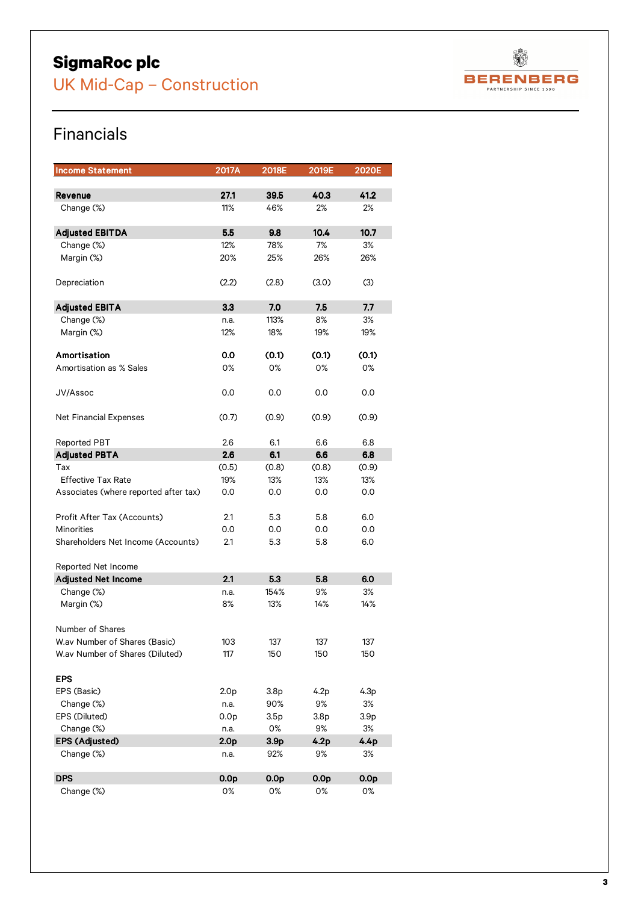# **SigmaRoc plc**

UK Mid-Cap – Construction



# Financials

| <b>Income Statement</b>               | 2017A            | 2018E            | 2019E            | 2020E            |
|---------------------------------------|------------------|------------------|------------------|------------------|
|                                       |                  |                  |                  |                  |
| Revenue                               | 27.1             | 39.5             | 40.3             | 41.2             |
| Change (%)                            | 11%              | 46%              | 2%               | 2%               |
| <b>Adjusted EBITDA</b>                | 5.5              | 9.8              | 10.4             | 10.7             |
| Change (%)                            | 12%              | 78%              | 7%               | 3%               |
| Margin (%)                            | 20%              | 25%              | 26%              | 26%              |
|                                       |                  |                  |                  |                  |
| Depreciation                          | (2.2)            | (2.8)            | (3.0)            | (3)              |
| <b>Adjusted EBITA</b>                 | 3.3              | 7.0              | 7.5              | 7.7              |
| Change (%)                            | n.a.             | 113%             | 8%               | 3%               |
| Margin (%)                            | 12%              | 18%              | 19%              | 19%              |
|                                       |                  |                  |                  |                  |
| Amortisation                          | 0.0              | (0.1)            | (0.1)            | (0.1)            |
| Amortisation as % Sales               | 0%               | 0%               | 0%               | 0%               |
|                                       |                  |                  |                  |                  |
| JV/Assoc                              | 0.0              | 0.0              | 0.0              | 0.0              |
| <b>Net Financial Expenses</b>         | (0.7)            | (0.9)            | (0.9)            | (0.9)            |
|                                       |                  |                  |                  |                  |
| <b>Reported PBT</b>                   | 2.6              | 6.1              | 6.6              | 6.8              |
| <b>Adjusted PBTA</b>                  | 2.6              | 6.1              | 6.6              | 6.8              |
| Tax                                   | (0.5)            | (0.8)            | (0.8)            | (0.9)            |
| <b>Effective Tax Rate</b>             | 19%              | 13%              | 13%              | 13%              |
| Associates (where reported after tax) | 0.0              | 0.0              | 0.0              | 0.0              |
|                                       |                  |                  |                  |                  |
| Profit After Tax (Accounts)           | 2.1              | 5.3              | 5.8              | 6.0              |
| <b>Minorities</b>                     | 0.0              | 0.0              | 0.0              | 0.0              |
| Shareholders Net Income (Accounts)    | 2.1              | 5.3              | 5.8              | 6.0              |
|                                       |                  |                  |                  |                  |
| Reported Net Income                   |                  |                  |                  |                  |
| <b>Adjusted Net Income</b>            | 2.1              | 5.3              | 5.8              | 6.0              |
| Change (%)                            | n.a.             | 154%             | 9%               | 3%               |
| Margin (%)                            | 8%               | 13%              | 14%              | 14%              |
| Number of Shares                      |                  |                  |                  |                  |
| W.av Number of Shares (Basic)         | 103              | 137              | 137              | 137              |
| W.av Number of Shares (Diluted)       | 117              | 150              | 150              | 150              |
|                                       |                  |                  |                  |                  |
| <b>EPS</b>                            |                  |                  |                  |                  |
| EPS (Basic)                           | 2.0 <sub>p</sub> | 3.8 <sub>p</sub> | 4.2p             | 4.3p             |
| Change (%)                            | n.a.             | 90%              | 9%               | 3%               |
| EPS (Diluted)                         | 0.0 <sub>p</sub> | 3.5p             | 3.8 <sub>p</sub> | 3.9 <sub>p</sub> |
| Change (%)                            | n.a.             | 0%               | 9%               | 3%               |
| <b>EPS (Adjusted)</b>                 | 2.0 <sub>p</sub> | 3.9 <sub>p</sub> | 4.2p             | 4.4p             |
| Change (%)                            | n.a.             | 92%              | 9%               | 3%               |
|                                       |                  |                  |                  |                  |
| <b>DPS</b>                            | 0.0 <sub>p</sub> | 0.0 <sub>p</sub> | 0.0 <sub>p</sub> | 0.0 <sub>p</sub> |
| Change (%)                            | 0%               | 0%               | 0%               | 0%               |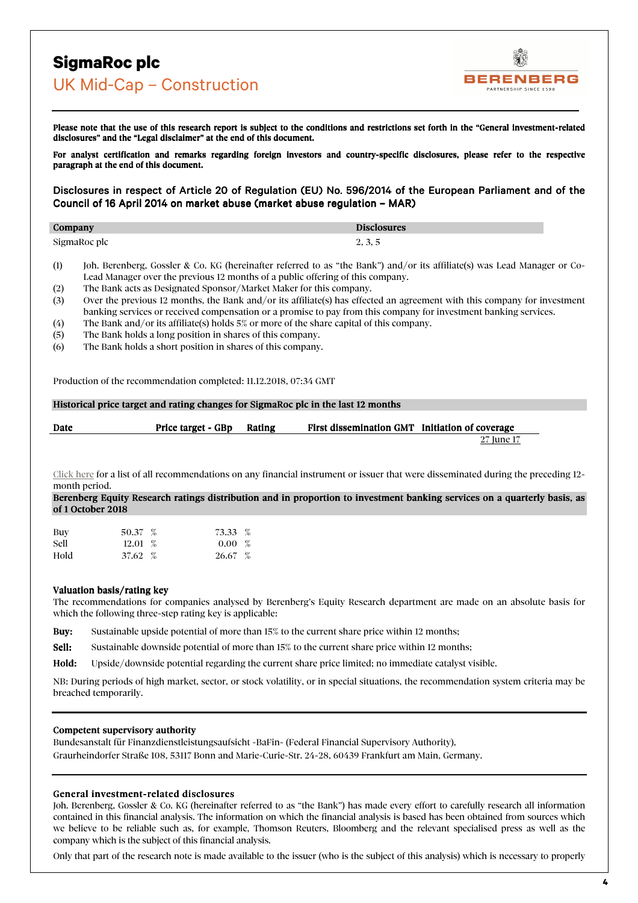**BERENBERG** PARTNERSHIP SINCE 1590

Please note that the use of this research report is subject to the conditions and restrictions set forth in the "General investment-related disclosures" and the "Legal disclaimer" at the end of this document.

For analyst certification and remarks regarding foreign investors and country-specific disclosures, please refer to the respective paragraph at the end of this document.

## Disclosures in respect of Article 20 of Regulation (EU) No. 596/2014 of the European Parliament and of the Council of 16 April 2014 on market abuse (market abuse regulation – MAR)

| Company      | <b>Disclosures</b> |
|--------------|--------------------|
| SigmaRoc plc | 2, 3, 5            |

- (1) Joh. Berenberg, Gossler & Co. KG (hereinafter referred to as "the Bank") and/or its affiliate(s) was Lead Manager or Co-Lead Manager over the previous 12 months of a public offering of this company.
- (2) The Bank acts as Designated Sponsor/Market Maker for this company.
- (3) Over the previous 12 months, the Bank and/or its affiliate(s) has effected an agreement with this company for investment banking services or received compensation or a promise to pay from this company for investment banking services.
- (4) The Bank and/or its affiliate(s) holds 5% or more of the share capital of this company.
- (5) The Bank holds a long position in shares of this company.
- (6) The Bank holds a short position in shares of this company.

Production of the recommendation completed: 11.12.2018, 07:34 GMT

## Historical price target and rating changes for SigmaRoc plc in the last 12 months

| Date | Price target - GBp | Rating | First dissemination GMT Initiation of coverage |            |
|------|--------------------|--------|------------------------------------------------|------------|
|      |                    |        |                                                | 27 June 17 |

[Click here](http://www.berenberg.de/cgi-bin/content/content.cgi?rm=show_doc&ial=1&doc_id=59493&ialh=2ca89740c1ecdc73aae50312f9f343c3) for a list of all recommendations on any financial instrument or issuer that were disseminated during the preceding 12 month period.

Berenberg Equity Research ratings distribution and in proportion to investment banking services on a quarterly basis, as of 1 October 2018

| Buy         | 50.37 $%$ | 73.33 %   |  |
|-------------|-----------|-----------|--|
| <b>Sell</b> | $12.01\%$ | $0.00\%$  |  |
| Hold        | 37.62~%   | $26.67\%$ |  |

## Valuation basis/rating key

The recommendations for companies analysed by Berenberg's Equity Research department are made on an absolute basis for which the following three-step rating key is applicable:

Buy: Sustainable upside potential of more than  $15\%$  to the current share price within 12 months;

Sell: Sustainable downside potential of more than 15% to the current share price within 12 months;

Hold: Upside/downside potential regarding the current share price limited; no immediate catalyst visible.

NB: During periods of high market, sector, or stock volatility, or in special situations, the recommendation system criteria may be breached temporarily.

## Competent supervisory authority

Bundesanstalt für Finanzdienstleistungsaufsicht -BaFin- (Federal Financial Supervisory Authority), Graurheindorfer Straße 108, 53117 Bonn and Marie-Curie-Str. 24-28, 60439 Frankfurt am Main, Germany.

## General investment-related disclosures

Joh. Berenberg, Gossler & Co. KG (hereinafter referred to as "the Bank") has made every effort to carefully research all information contained in this financial analysis. The information on which the financial analysis is based has been obtained from sources which we believe to be reliable such as, for example, Thomson Reuters, Bloomberg and the relevant specialised press as well as the company which is the subject of this financial analysis.

Only that part of the research note is made available to the issuer (who is the subject of this analysis) which is necessary to properly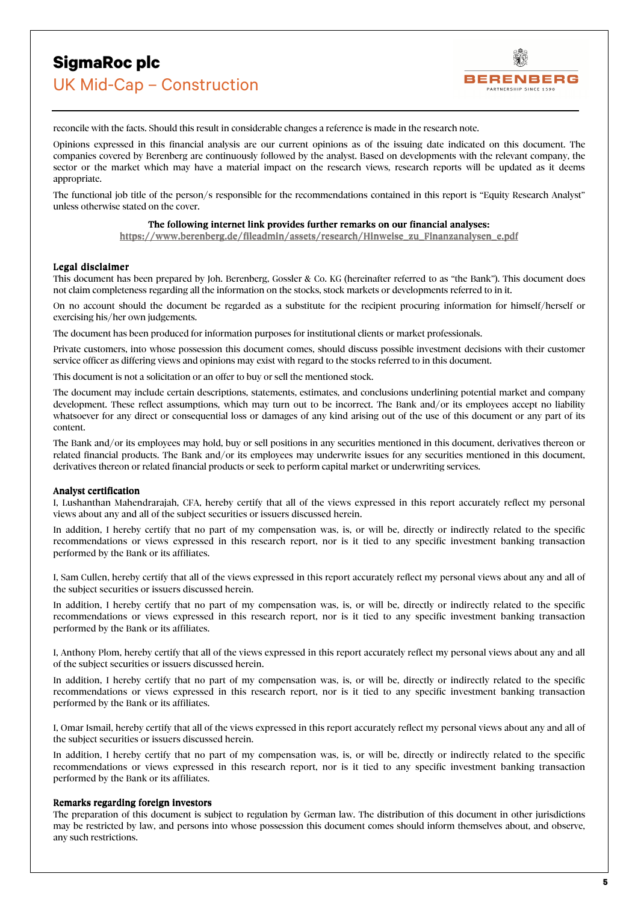

reconcile with the facts. Should this result in considerable changes a reference is made in the research note.

Opinions expressed in this financial analysis are our current opinions as of the issuing date indicated on this document. The companies covered by Berenberg are continuously followed by the analyst. Based on developments with the relevant company, the sector or the market which may have a material impact on the research views, research reports will be updated as it deems appropriate.

The functional job title of the person/s responsible for the recommendations contained in this report is "Equity Research Analyst" unless otherwise stated on the cover.

## The following internet link provides further remarks on our financial analyses:

[https://www.berenberg.de/fileadmin/assets/research/Hinweise\\_zu\\_Finanzanalysen\\_e.pdf](https://www.berenberg.de/fileadmin/assets/research/Hinweise_zu_Finanzanalysen_e.pdf) 

## Legal disclaimer

This document has been prepared by Joh. Berenberg, Gossler & Co. KG (hereinafter referred to as "the Bank"). This document does not claim completeness regarding all the information on the stocks, stock markets or developments referred to in it.

On no account should the document be regarded as a substitute for the recipient procuring information for himself/herself or exercising his/her own judgements.

The document has been produced for information purposes for institutional clients or market professionals.

Private customers, into whose possession this document comes, should discuss possible investment decisions with their customer service officer as differing views and opinions may exist with regard to the stocks referred to in this document.

This document is not a solicitation or an offer to buy or sell the mentioned stock.

The document may include certain descriptions, statements, estimates, and conclusions underlining potential market and company development. These reflect assumptions, which may turn out to be incorrect. The Bank and/or its employees accept no liability whatsoever for any direct or consequential loss or damages of any kind arising out of the use of this document or any part of its content.

The Bank and/or its employees may hold, buy or sell positions in any securities mentioned in this document, derivatives thereon or related financial products. The Bank and/or its employees may underwrite issues for any securities mentioned in this document, derivatives thereon or related financial products or seek to perform capital market or underwriting services.

## Analyst certification

I, Lushanthan Mahendrarajah, CFA, hereby certify that all of the views expressed in this report accurately reflect my personal views about any and all of the subject securities or issuers discussed herein.

In addition, I hereby certify that no part of my compensation was, is, or will be, directly or indirectly related to the specific recommendations or views expressed in this research report, nor is it tied to any specific investment banking transaction performed by the Bank or its affiliates.

I, Sam Cullen, hereby certify that all of the views expressed in this report accurately reflect my personal views about any and all of the subject securities or issuers discussed herein.

In addition, I hereby certify that no part of my compensation was, is, or will be, directly or indirectly related to the specific recommendations or views expressed in this research report, nor is it tied to any specific investment banking transaction performed by the Bank or its affiliates.

I, Anthony Plom, hereby certify that all of the views expressed in this report accurately reflect my personal views about any and all of the subject securities or issuers discussed herein.

In addition, I hereby certify that no part of my compensation was, is, or will be, directly or indirectly related to the specific recommendations or views expressed in this research report, nor is it tied to any specific investment banking transaction performed by the Bank or its affiliates.

I, Omar Ismail, hereby certify that all of the views expressed in this report accurately reflect my personal views about any and all of the subject securities or issuers discussed herein.

In addition, I hereby certify that no part of my compensation was, is, or will be, directly or indirectly related to the specific recommendations or views expressed in this research report, nor is it tied to any specific investment banking transaction performed by the Bank or its affiliates.

## Remarks regarding foreign investors

The preparation of this document is subject to regulation by German law. The distribution of this document in other jurisdictions may be restricted by law, and persons into whose possession this document comes should inform themselves about, and observe, any such restrictions.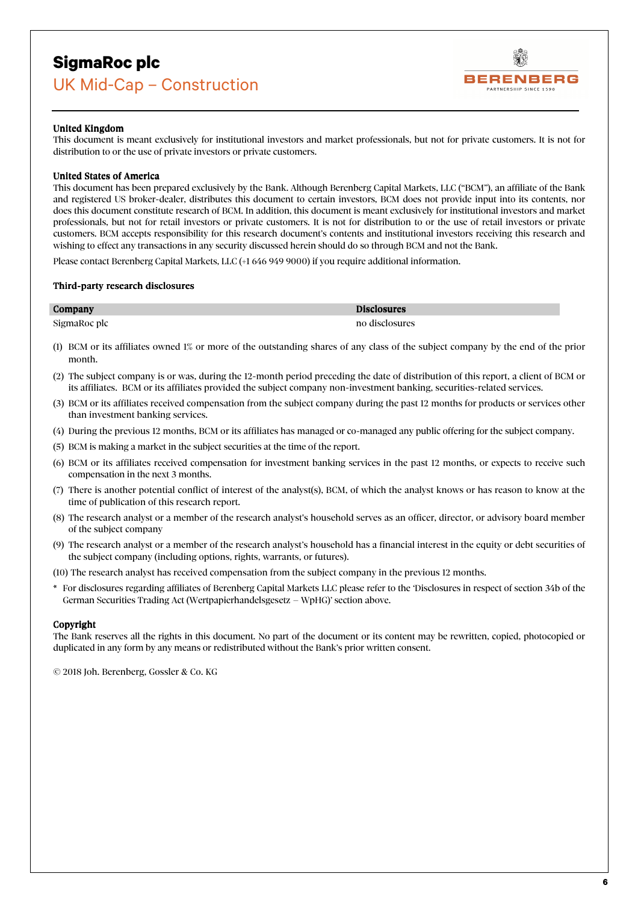

## United Kingdom

This document is meant exclusively for institutional investors and market professionals, but not for private customers. It is not for distribution to or the use of private investors or private customers.

## United States of America

This document has been prepared exclusively by the Bank. Although Berenberg Capital Markets, LLC ("BCM"), an affiliate of the Bank and registered US broker-dealer, distributes this document to certain investors, BCM does not provide input into its contents, nor does this document constitute research of BCM. In addition, this document is meant exclusively for institutional investors and market professionals, but not for retail investors or private customers. It is not for distribution to or the use of retail investors or private customers. BCM accepts responsibility for this research document's contents and institutional investors receiving this research and wishing to effect any transactions in any security discussed herein should do so through BCM and not the Bank.

Please contact Berenberg Capital Markets, LLC (+1 646 949 9000) if you require additional information.

## Third-party research disclosures

| Company      | <b>Disclosures</b> |
|--------------|--------------------|
| SigmaRoc plc | no disclosures     |

- (1) BCM or its affiliates owned 1% or more of the outstanding shares of any class of the subject company by the end of the prior month.
- (2) The subject company is or was, during the 12-month period preceding the date of distribution of this report, a client of BCM or its affiliates. BCM or its affiliates provided the subject company non-investment banking, securities-related services.
- (3) BCM or its affiliates received compensation from the subject company during the past 12 months for products or services other than investment banking services.
- (4) During the previous 12 months, BCM or its affiliates has managed or co-managed any public offering for the subject company.
- (5) BCM is making a market in the subject securities at the time of the report.
- (6) BCM or its affiliates received compensation for investment banking services in the past 12 months, or expects to receive such compensation in the next 3 months.
- (7) There is another potential conflict of interest of the analyst(s), BCM, of which the analyst knows or has reason to know at the time of publication of this research report.
- (8) The research analyst or a member of the research analyst's household serves as an officer, director, or advisory board member of the subject company
- (9) The research analyst or a member of the research analyst's household has a financial interest in the equity or debt securities of the subject company (including options, rights, warrants, or futures).

(10) The research analyst has received compensation from the subject company in the previous 12 months.

\* For disclosures regarding affiliates of Berenberg Capital Markets LLC please refer to the 'Disclosures in respect of section 34b of the German Securities Trading Act (Wertpapierhandelsgesetz – WpHG)' section above.

## **Copyright**

The Bank reserves all the rights in this document. No part of the document or its content may be rewritten, copied, photocopied or duplicated in any form by any means or redistributed without the Bank's prior written consent.

© 2018 Joh. Berenberg, Gossler & Co. KG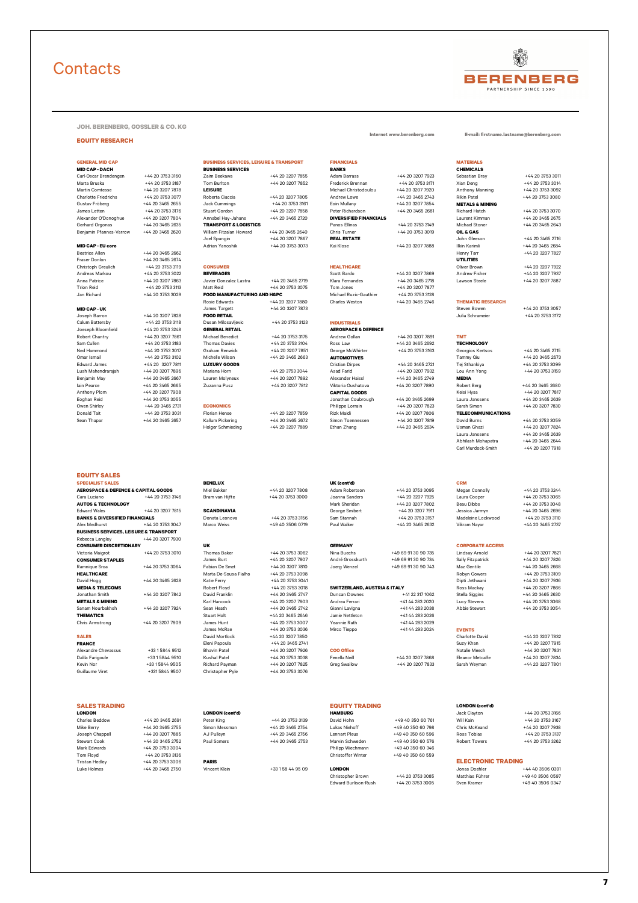# **Contacts**



**JOH. BERENBERG, GOSSLER & CO. KG**

#### **EQUITY RESEARCH**

#### **MID CAP - EU core** Adrian Yanoshik +44 20 3753 3073 Kai Klose +44 20 3207 7888 Ilkin Karimli +44 20 3465 2684

**EQUITY SALES**

**BUSINESS SERVICES, LEISURE & TRANSPORT**<br>Rebecca Langley  $+44.20,3207,7930$ 

Beatrice Allen +44 20 3465 2662 Henry Tarr +44 20 3207 7827 Fraser Donlon +44 20 3465 2674 **UTILITIES**

Christoph Greulich +44 20 3753 3119 **CONSUMER HEALTHCARE** Oliver Brown +44 20 3207 7922 Andreas Markou +44 20 3753 3022 **BEVERAGES** Scott Bardo +44 20 3207 7869 Andrew Fisher +44 20 3207 7937 Anna Patrice +44 20 3207 7863 Javier Gonzalez Lastra +44 20 3465 2719 Klara Fernandes +44 20 3465 2718 Lawson Steele +44 20 3207 7887 Trion Reid +44 20 3753 3113 Matt Reid +44 20 3753 3075 Tom Jones +44 20 3207 7877 Jan Richard +44 20 3753 3029 **FOOD MANUFACTURING AND H&PC** Michael Ruzic-Gauthier +44 20 3753 3128 Rosie Edwards +44 20 3207 7880 Charles Weston +44 20 3465 2746 **THEMATIC RESEARCH**<br>James Targett +44 20 3207 7873 Alld CAP - UK **James Targett** +44 20 3707 7873 All the state of the state of the state of the state of the state of the state of the state of the state of the state of the state of the state of the state of the state of th Joseph Barron +44 20 3207 7828 **FOOD RETAIL** Julia Schrameier +44 20 3753 3172 Calum Battersby +44 20 3753 3118 Dusan Milosavljevic +44 20 3753 3123 **INDUSTRIALS** Joeseph Bloomfield +44 20 3753 3248 **GENERAL RETAIL AEROSPACE & DEFENCE** Robert Chantry +44 20 3207 7861 Michael Benedict +44 20 3753 3175 Andrew Gollan +44 20 3207 7891 **TMT** Sam Cullen +44 20 3753 3183 Thomas Davies +44 20 3753 3104 Ross Law +44 20 3465 2692 **TECHNOLOGY** Ned Hammond +44 20 3753 3017 Graham Renwick +44 20 3207 7851 George McWhirter +44 20 3753 3163 Georgios Kertsos +44 20 3465 2715 Omar Ismail +44 20 3753 3102 Michelle Wilson +44 20 3465 2663 **AUTOMOTIVES** Tammy Qiu +44 20 3465 2673 Edward James +44 20 3207 7811 **LUXURY GOODS** Cristian Dirpes +44 20 3465 2721 Tej Sthankiya +44 20 3753 3099 Lush Mahendrarajah +44 20 3207 7896 Mariana Horn +44 20 3753 3044 Asad Farid +44 20 3207 7932 Lou Ann Yong +44 20 3753 3159

**THEMATICS** Stuart Holt +44 20 3465 2646 Jamie Nettleton +41 44 283 2026

| <b>GENERAL MID CAP</b>      |                  |                                                   |                  | <b>FINANCIALS</b>             |                  | <b>MATERIALS</b>           |                  |
|-----------------------------|------------------|---------------------------------------------------|------------------|-------------------------------|------------------|----------------------------|------------------|
|                             |                  | <b>BUSINESS SERVICES, LEISURE &amp; TRANSPORT</b> |                  |                               |                  |                            |                  |
| <b>MID CAP - DACH</b>       |                  | <b>BUSINESS SERVICES</b>                          |                  | <b>BANKS</b>                  |                  | <b>CHEMICALS</b>           |                  |
| Carl-Oscar Brendengen       | +44 20 3753 3160 | <b>Zaim Beekawa</b>                               | +44 20 3207 7855 | <b>Adam Barrass</b>           | +44 20 3207 7923 | Sebastian Brav             | +44 20 3753 301  |
| Marta Bruska                | +44 20 3753 3187 | Tom Burlton                                       | +44 20 3207 7852 | Frederick Brennan             | +44 20 3753 3171 | Xian Deng                  | +44 20 3753 3014 |
| Martin Comtesse             | +44 20 3207 7878 | <b>LEISURE</b>                                    |                  | Michael Christodoulou         | +44 20 3207 7920 | Anthony Manning            | +44 20 3753 3092 |
| <b>Charlotte Friedrichs</b> | +44 20 3753 3077 | Roberta Ciaccia                                   | +44 20 3207 7805 | Andrew Lowe                   | +44 20 3465 2743 | <b>Rikin Patel</b>         | +44 20 3753 3080 |
| Gustav Fröberg              | +44 20 3465 2655 | Jack Cummings                                     | +44 20 3753 3161 | Eoin Mullany                  | +44 20 3207 7854 | <b>METALS &amp; MINING</b> |                  |
| James Letten                | +44 20 3753 3176 | Stuart Gordon                                     | +44 20 3207 7858 | Peter Richardson              | +44 20 3465 2681 | Richard Hatch              | +44 20 3753 3070 |
| Alexander O'Donoghue        | +44 20 3207 7804 | Annabel Hav-Jahans                                | +44 20 3465 2720 | <b>DIVERSIFIED FINANCIALS</b> |                  | Laurent Kimman             | +44 20 3465 2675 |
| Gerhard Orgonas             | +44 20 3465 2635 | <b>TRANSPORT &amp; LOGISTICS</b>                  |                  | Panos Filinas                 | +44 20 3753 3149 | Michael Stoner             | +44 20 3465 2643 |
| Benjamin Pfannes-Varrow     | +44 20 3465 2620 | William Fitzalan Howard                           | +44 20 3465 2640 | Chris Turner                  | +44 20 3753 3019 | OIL & GAS                  |                  |
|                             |                  | Joel Spungin                                      | +44 20 3207 7867 | <b>REAL ESTATE</b>            |                  | John Gleeson               | +44 20 3465 2716 |

Benjamin May +44 20 3465 2667 Lauren Molyneux +44 20 3207 7892 Alexander Haissl +44 20 3465 2749 **MEDIA** Iain Pearce +44 20 3465 2665 Zuzanna Pusz +44 20 3207 7812 Viktoria Oushatova +44 20 3207 7890 Robert Berg +44 20 3465 2680 Anthony Plom +44 20 3207 7908 **CAPITAL GOODS** Keisi Hysa +44 20 3207 7817

**Internet www.berenberg.com E-mail: firstname.lastname@berenberg.com**

Eoghan Reid +44 20 3753 3055 Jonathan Coubrough +44 20 3465 2699 Laura Janssens +44 20 3465 2639 Owen Shirley +44 20 3465 2731 **ECONOMICS** Philippe Lorrain +44 20 3207 7823 Sarah Simon +44 20 3207 7830 Donald Tait +44 20 3753 3031 Florian Hense +44 20 3207 7859 Rizk Maidi +44 20 3207 7806 **TELECOMMUNICATIONS** Sean Thapar +44 20 3465 2657 Kallum Pickering +44 20 3465 2672 Simon Toennessen +44 20 3207 7819 David Burns +44 20 3753 3059 Holger Schmieding +44 20 3207 7889 Ethan Zhang +44 20 3465 2634 Usman Ghazi +44 20 3207 7824

Laura Janssens +44 20 3465 2639 Abhilash Mohapatra +44 20 3465 2644<br>Carl Murdock-Smith +44 20 3207 7918

## **SPECIALIST SALES BENELUX UK (cont'd) CRM**

**AEROSPACE & DEFENCE & CAPITAL GOODS** And Bakker +44 20 3207 7808 Adam Robertson +44 20 3753 3095 Megan Connolly +44 20 3753 3244<br>Cara Luciano +44 20 3753 3146 Bram van Hijfte +44 20 3753 3000 Joanna Sanders +44 20 3207 79 Cara Luciano +44 20 3753 3146 Bram van Hijfte +44 20 3753 3000 Joanna Sanders +44 20 3207 7925 Laura Cooper +44 20 3753 3065 **AUTOS & TECHNOLOGY** +44 20 3753 3048 Edward Wales +44 20 3207 7815 **SCANDINAVIA** George Smibert +44 20 3207 7911 Jessica Jarmyn +44 20 3465 2696 **BANKS & DIVERSIFIED FINANCIALS** Donata Leonova +44 20 3753 3156 Sam Stannah +44 20 3753 3157 Madeleine Lockwood +44 20 3753 3110 Alex Medhurst +44 20 3753 3047 Marco Weiss +49 40 3506 0719 Paul Walker +44 20 3465 2632 Vikram Nayar +44 20 3465 2737

Carl Murdock-Smith

## Rebecca Langley +44 20 3207 7930 **CONSUMER DISCRETIONARY UK GERMANY CORPORATE ACCESS**

Victoria Maigrot +44 20 3753 3010 Thomas Baker +44 20 3753 3062 Nina Buechs +49 69 91 30 90 735 Lindsay Arnold +44 20 3207 7821 **CONSUMER STAPLES** James Burt +44 20 3207 7807 André Grosskurth +49 69 91 30 90 734 Sally Fitzpatrick +44 20 3207 7826 Ramnique Sroa +44 20 3753 3064 Fabian De Smet +44 20 3207 7810 Joerg Wenzel +49 69 91 30 90 743 Maz Gentile +44 20 3465 2668 **HEALTHCARE** Marta De-Sousa Fialho +44 20 3753 3098 Robyn Gowers +44 20 3753 3109 David Hogg +44 20 3465 2628 Katie Ferry +44 20 3753 3041 Dipti Jethwani +44 20 3207 7936 **MEDIA & TELECOMS**<br>
MEDIA & TELECOMS<br>
MEDIA & TELECOMS<br>
MEDIA & TELECOMS<br>
MEDIA & TELECOMS<br>
A MEDIA A 20 365 2262<br>
MEDIA & TELECOMS<br>
A COMARDIA +44 20 3207 7842<br>
MEDIA & TELECOMS<br>
A COMARDIA +44 20 3207 7842<br>
METALS & MI Jonathan Smith +44 20 3207 7842 David Franklin +44 20 3465 2747 Duncan Downes +41 22 317 1062 Stella Siggins +44 20 3465 2630 **METALS & MINING Karl Hancock** +44 20 3700 **Hancock** +44 20 3207 7803 Andrea Ferrari +41 44 283 2020 Lucy Stevens +44 20 3753 3068 Sanam Nourbakhsh +44 20 3207 7924 Sean Heath +44 20 3465 2742 Gianni Lavigna +41 44 283 2038 Abbie Stewart +44 20 3753 3054

Chris Armstrong +44 20 3207 7809 James Hunt +44 20 3753 3007 Yeannie Rath +41 44 283 2029 James McRae +44 20 3753 3036 Mirco Tieppo +41 44 293 2024 **EVENTS**

Luke Holmes +44 20 3465 2750 Vincent Klein +33 1 58 44 95 09 **LONDON** Jonas Doehler +44 40 3506 0391 Christopher Brown +44 20 3753 3085 Matthias Führer +49 40 3506 0597

| <b>SALES</b>        |                 | David Mortlock        | +44 20 3207 7850 |                   |                  | Charlotte David  | +44 20 3207 7832 |
|---------------------|-----------------|-----------------------|------------------|-------------------|------------------|------------------|------------------|
| <b>FRANCE</b>       |                 | Eleni Papoula         | +44 20 3465 2741 |                   |                  | Suzy Khan        | +44 20 3207 7915 |
| Alexandre Chevassus | +33 1 5844 9512 | <b>Bhavin Patel</b>   | +44 20 3207 7926 | <b>COO Office</b> |                  | Natalie Meech    | +44 20 3207 783  |
| Dalila Farigoule    | +33 1 5844 9510 | Kushal Patel          | +44 20 3753 3038 | Fenella Neill     | +44 20 3207 7868 | Eleanor Metcalfe | +44 20 3207 7834 |
| Kevin Nor           | +33158449505    | <b>Richard Payman</b> | +44 20 3207 7825 | Grea Swallow      | +44 20 3207 7833 | Sarah Wevman     | +44 20 3207 780  |
| Guillaume Viret     | +331 5844 9507  | Christopher Pyle      | +44 20 3753 3076 |                   |                  |                  |                  |
|                     |                 |                       |                  |                   |                  |                  |                  |
|                     |                 |                       |                  |                   |                  |                  |                  |

# Tristan Hedley +44 20 3753 3006 **PARIS ELECTRONIC TRADING**

| <b>SALES TRADING</b> |                  |                        |                  | <b>EQUITY TRADING</b> |                   | <b>LONDON (cont'd)</b>    |                  |
|----------------------|------------------|------------------------|------------------|-----------------------|-------------------|---------------------------|------------------|
| LONDON               |                  | <b>LONDON (cont'd)</b> |                  | <b>HAMBURG</b>        |                   | Jack Clavton              | +44 20 3753 3166 |
| Charles Beddow       | +44 20 3465 2691 | Peter King             | +44 20 3753 3139 | David Hohn            | +49 40 350 60 761 | Will Kain                 | +44 20 3753 3167 |
| Mike Berry           | +44 20 3465 2755 | Simon Messman          | +44 20 3465 2754 | Lukas Niehoff         | +49 40 350 60 798 | Chris McKeand             | +44 20 3207 7938 |
| Joseph Chappell      | +44 20 3207 7885 | AJ Pullevn             | +44 20 3465 2756 | Lennart Pleus         | +49 40 350 60 596 | Ross Tobias               | +44 20 3753 3137 |
| Stewart Cook         | +44 20 3465 2752 | Paul Somers            | +44 20 3465 2753 | Marvin Schweden       | +49 40 350 60 576 | <b>Robert Towers</b>      | +44 20 3753 3262 |
| Mark Edwards         | +44 20 3753 3004 |                        |                  | Philipp Wiechmann     | +49 40 350 60 346 |                           |                  |
| Tom Flovd            | +44 20 3753 3136 |                        |                  | Christoffer Winter    | +49 40 350 60 559 |                           |                  |
| Tristan Hedley       | +44 20 3753 3006 | <b>PAPIS</b>           |                  |                       |                   | <b>ELECTRONIC TRADING</b> |                  |

| +44 20 3753 3   |
|-----------------|
| +44 20 3465 2   |
| +44 20 3465 2   |
| $+44$ 20 3465 2 |
|                 |
|                 |
|                 |
| +33 1 58 44 95  |

| Lukas Niehoff             |
|---------------------------|
| Lennart Pleus             |
| Marvin Schweden           |
| Philipp Wiechmann         |
| <b>Christoffer Winter</b> |
|                           |

Edward Burlison-Rush +44 20 3753 3005 Sven Kramer +49 40 3506 0347